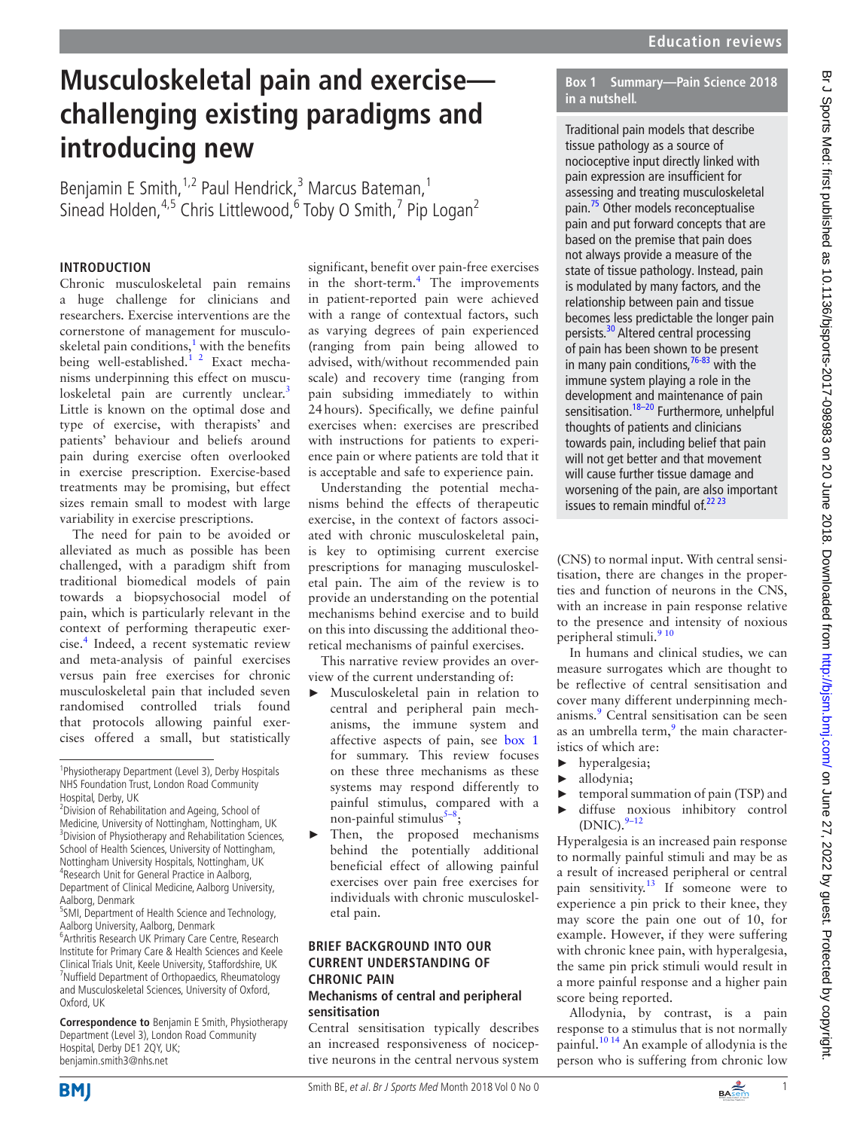# **Musculoskeletal pain and exercise challenging existing paradigms and introducing new**

Benjamin E Smith,<sup>1,2</sup> Paul Hendrick,<sup>3</sup> Marcus Bateman,<sup>1</sup> Sinead Holden,<sup>4,5</sup> Chris Littlewood,<sup>6</sup> Toby O Smith,<sup>7</sup> Pip Logan<sup>2</sup>

## **Introduction**

Chronic musculoskeletal pain remains a huge challenge for clinicians and researchers. Exercise interventions are the cornerstone of management for musculo-skeletal pain conditions,<sup>[1](#page-4-0)</sup> with the benefits being well-established.<sup>1 2</sup> Exact mechanisms underpinning this effect on muscu-loskeletal pain are currently unclear.<sup>[3](#page-4-1)</sup> Little is known on the optimal dose and type of exercise, with therapists' and patients' behaviour and beliefs around pain during exercise often overlooked in exercise prescription. Exercise-based treatments may be promising, but effect sizes remain small to modest with large variability in exercise prescriptions.

The need for pain to be avoided or alleviated as much as possible has been challenged, with a paradigm shift from traditional biomedical models of pain towards a biopsychosocial model of pain, which is particularly relevant in the context of performing therapeutic exercise[.4](#page-4-2) Indeed, a recent systematic review and meta-analysis of painful exercises versus pain free exercises for chronic musculoskeletal pain that included seven randomised controlled trials found that protocols allowing painful exercises offered a small, but statistically

**Correspondence to** Benjamin E Smith, Physiotherapy Department (Level 3), London Road Community Hospital, Derby DE1 2QY, UK; benjamin.smith3@nhs.net

significant, benefit over pain-free exercises in the short-term.<sup>4</sup> The improvements in patient-reported pain were achieved with a range of contextual factors, such as varying degrees of pain experienced (ranging from pain being allowed to advised, with/without recommended pain scale) and recovery time (ranging from pain subsiding immediately to within 24hours). Specifically, we define painful exercises when: exercises are prescribed with instructions for patients to experience pain or where patients are told that it is acceptable and safe to experience pain.

Understanding the potential mechanisms behind the effects of therapeutic exercise, in the context of factors associated with chronic musculoskeletal pain, is key to optimising current exercise prescriptions for managing musculoskeletal pain. The aim of the review is to provide an understanding on the potential mechanisms behind exercise and to build on this into discussing the additional theoretical mechanisms of painful exercises.

This narrative review provides an overview of the current understanding of:

- Musculoskeletal pain in relation to central and peripheral pain mechanisms, the immune system and affective aspects of pain, see [box](#page-0-0) 1 for summary. This review focuses on these three mechanisms as these systems may respond differently to painful stimulus, compared with a non-painful stimulus $5-8$ ;
- ► Then, the proposed mechanisms behind the potentially additional beneficial effect of allowing painful exercises over pain free exercises for individuals with chronic musculoskeletal pain.

# **Brief background into our current understanding of chronic pain**

### **Mechanisms of central and peripheral sensitisation**

Central sensitisation typically describes an increased responsiveness of nociceptive neurons in the central nervous system **Box 1 Summary—Pain Science 2018 in a nutshell.**

<span id="page-0-0"></span>Traditional pain models that describe tissue pathology as a source of nocioceptive input directly linked with pain expression are insufficient for assessing and treating musculoskeletal pain[.75](#page-5-0) Other models reconceptualise pain and put forward concepts that are based on the premise that pain does not always provide a measure of the state of tissue pathology. Instead, pain is modulated by many factors, and the relationship between pain and tissue becomes less predictable the longer pain persists.<sup>30</sup> Altered central processing of pain has been shown to be present in many pain conditions,  $76-83$  with the immune system playing a role in the development and maintenance of pain sensitisation.<sup>18–20</sup> Furthermore, unhelpful thoughts of patients and clinicians towards pain, including belief that pain will not get better and that movement will cause further tissue damage and worsening of the pain, are also important issues to remain mindful of. $2223$ 

(CNS) to normal input. With central sensitisation, there are changes in the properties and function of neurons in the CNS, with an increase in pain response relative to the presence and intensity of noxious peripheral stimuli.<sup>[9 10](#page-4-4)</sup>

In humans and clinical studies, we can measure surrogates which are thought to be reflective of central sensitisation and cover many different underpinning mechanisms.<sup>9</sup> Central sensitisation can be seen as an umbrella term, $9$  the main characteristics of which are:

- ► hyperalgesia;
- allodynia;
- temporal summation of pain (TSP) and
- diffuse noxious inhibitory control  $(DNIC).<sup>9-12</sup>$

Hyperalgesia is an increased pain response to normally painful stimuli and may be as a result of increased peripheral or central pain sensitivity.[13](#page-4-5) If someone were to experience a pin prick to their knee, they may score the pain one out of 10, for example. However, if they were suffering with chronic knee pain, with hyperalgesia, the same pin prick stimuli would result in a more painful response and a higher pain score being reported.

Allodynia, by contrast, is a pain response to a stimulus that is not normally painful.<sup>10 14</sup> An example of allodynia is the person who is suffering from chronic low





<sup>&</sup>lt;sup>1</sup>Physiotherapy Department (Level 3), Derby Hospitals NHS Foundation Trust, London Road Community Hospital, Derby, UK

<sup>&</sup>lt;sup>2</sup> Division of Rehabilitation and Ageing, School of Medicine, University of Nottingham, Nottingham, UK <sup>3</sup> Division of Physiotherapy and Rehabilitation Sciences, School of Health Sciences, University of Nottingham, Nottingham University Hospitals, Nottingham, UK 4 Research Unit for General Practice in Aalborg, Department of Clinical Medicine, Aalborg University, Aalborg, Denmark

<sup>&</sup>lt;sup>5</sup>SMI, Department of Health Science and Technology, Aalborg University, Aalborg, Denmark

<sup>6</sup> Arthritis Research UK Primary Care Centre, Research Institute for Primary Care & Health Sciences and Keele Clinical Trials Unit, Keele University, Staffordshire, UK 7 Nuffield Department of Orthopaedics, Rheumatology and Musculoskeletal Sciences, University of Oxford, Oxford, UK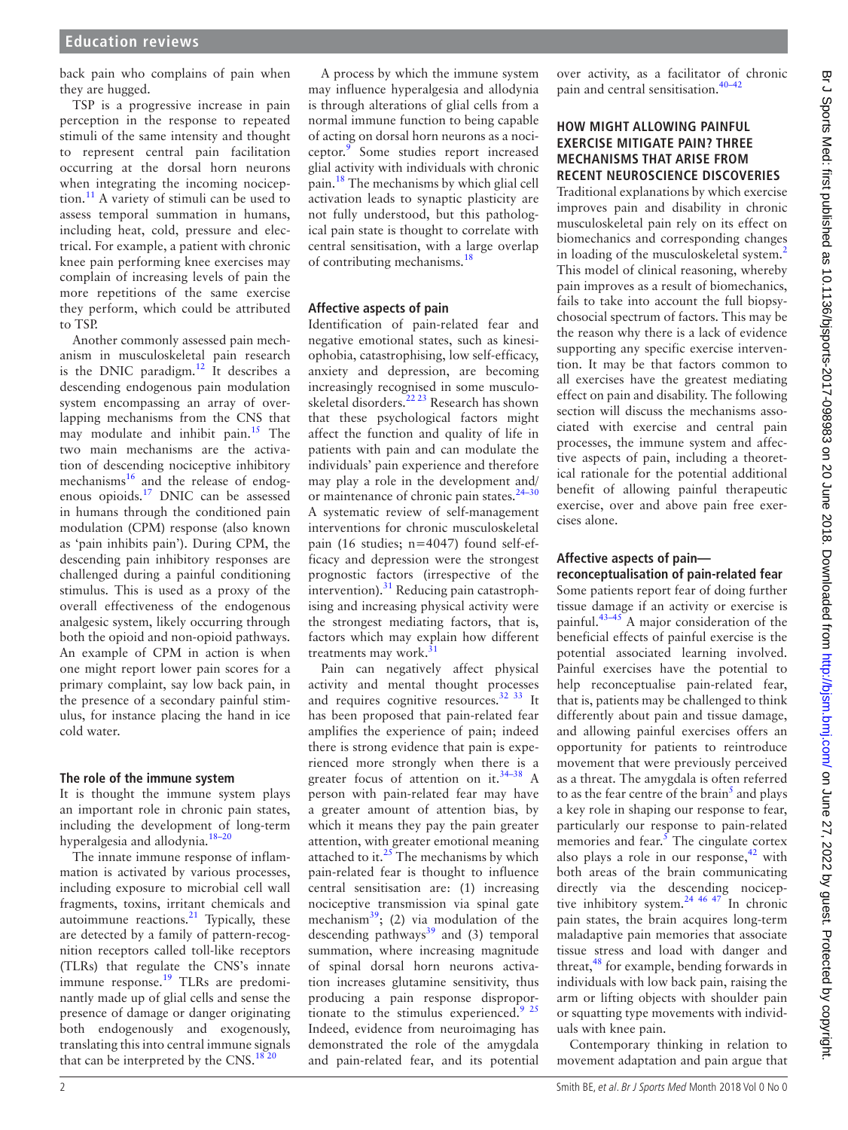back pain who complains of pain when they are hugged.

TSP is a progressive increase in pain perception in the response to repeated stimuli of the same intensity and thought to represent central pain facilitation occurring at the dorsal horn neurons when integrating the incoming nociception.[11](#page-4-10) A variety of stimuli can be used to assess temporal summation in humans, including heat, cold, pressure and electrical. For example, a patient with chronic knee pain performing knee exercises may complain of increasing levels of pain the more repetitions of the same exercise they perform, which could be attributed to TSP.

Another commonly assessed pain mechanism in musculoskeletal pain research is the DNIC paradigm.<sup>[12](#page-4-11)</sup> It describes a descending endogenous pain modulation system encompassing an array of overlapping mechanisms from the CNS that may modulate and inhibit pain.<sup>[15](#page-4-12)</sup> The two main mechanisms are the activation of descending nociceptive inhibitory mechanisms<sup>[16](#page-4-13)</sup> and the release of endogenous opioids.[17](#page-4-14) DNIC can be assessed in humans through the conditioned pain modulation (CPM) response (also known as 'pain inhibits pain'). During CPM, the descending pain inhibitory responses are challenged during a painful conditioning stimulus. This is used as a proxy of the overall effectiveness of the endogenous analgesic system, likely occurring through both the opioid and non-opioid pathways. An example of CPM in action is when one might report lower pain scores for a primary complaint, say low back pain, in the presence of a secondary painful stimulus, for instance placing the hand in ice cold water.

#### **The role of the immune system**

It is thought the immune system plays an important role in chronic pain states, including the development of long-term hyperalgesia and allodynia. $18-20$ 

The innate immune response of inflammation is activated by various processes, including exposure to microbial cell wall fragments, toxins, irritant chemicals and autoimmune reactions.[21](#page-4-15) Typically, these are detected by a family of pattern-recognition receptors called toll-like receptors (TLRs) that regulate the CNS's innate immune response. $^{19}$  $^{19}$  $^{19}$  TLRs are predominantly made up of glial cells and sense the presence of damage or danger originating both endogenously and exogenously, translating this into central immune signals that can be interpreted by the CNS.<sup>18 20</sup>

ical pain state is thought to correlate with central sensitisation, with a large overlap of contributing mechanisms[.18](#page-4-8) **Affective aspects of pain** Identification of pain-related fear and negative emotional states, such as kinesiophobia, catastrophising, low self-efficacy, anxiety and depression, are becoming increasingly recognised in some musculoskeletal disorders.[22 23](#page-4-9) Research has shown that these psychological factors might affect the function and quality of life in

patients with pain and can modulate the individuals' pain experience and therefore may play a role in the development and/ or maintenance of chronic pain states.<sup>24-30</sup> A systematic review of self-management interventions for chronic musculoskeletal pain (16 studies; n=4047) found self-efficacy and depression were the strongest prognostic factors (irrespective of the intervention). $31$  Reducing pain catastrophising and increasing physical activity were the strongest mediating factors, that is, factors which may explain how different treatments may work. $31$ 

A process by which the immune system may influence hyperalgesia and allodynia is through alterations of glial cells from a normal immune function to being capable of acting on dorsal horn neurons as a nociceptor.<sup>9</sup> Some studies report increased glial activity with individuals with chronic pain.[18](#page-4-8) The mechanisms by which glial cell activation leads to synaptic plasticity are not fully understood, but this patholog-

Pain can negatively affect physical activity and mental thought processes and requires cognitive resources.[32 33](#page-4-19) It has been proposed that pain-related fear amplifies the experience of pain; indeed there is strong evidence that pain is experienced more strongly when there is a greater focus of attention on it.<sup>[34–38](#page-4-20)</sup> A person with pain-related fear may have a greater amount of attention bias, by which it means they pay the pain greater attention, with greater emotional meaning attached to it. $25$  The mechanisms by which pain-related fear is thought to influence central sensitisation are: (1) increasing nociceptive transmission via spinal gate mechanism $^{39}$  $^{39}$  $^{39}$ ; (2) via modulation of the descending pathways $39$  and (3) temporal summation, where increasing magnitude of spinal dorsal horn neurons activation increases glutamine sensitivity, thus producing a pain response disproportionate to the stimulus experienced.<sup>9</sup>  $25$ Indeed, evidence from neuroimaging has demonstrated the role of the amygdala and pain-related fear, and its potential over activity, as a facilitator of chronic pain and central sensitisation.<sup>40-42</sup>

## **How might allowing painful exercise mitigate pain? Three mechanisms that arise from recent neuroscience discoveries**

Traditional explanations by which exercise improves pain and disability in chronic musculoskeletal pain rely on its effect on biomechanics and corresponding changes in loading of the musculoskeletal system.<sup>[2](#page-4-24)</sup> This model of clinical reasoning, whereby pain improves as a result of biomechanics, fails to take into account the full biopsychosocial spectrum of factors. This may be the reason why there is a lack of evidence supporting any specific exercise intervention. It may be that factors common to all exercises have the greatest mediating effect on pain and disability. The following section will discuss the mechanisms associated with exercise and central pain processes, the immune system and affective aspects of pain, including a theoretical rationale for the potential additional benefit of allowing painful therapeutic exercise, over and above pain free exercises alone.

# **Affective aspects of pain—**

**reconceptualisation of pain-related fear** Some patients report fear of doing further tissue damage if an activity or exercise is painful.<sup>[43–45](#page-4-25)</sup> A major consideration of the beneficial effects of painful exercise is the potential associated learning involved. Painful exercises have the potential to help reconceptualise pain-related fear, that is, patients may be challenged to think differently about pain and tissue damage, and allowing painful exercises offers an opportunity for patients to reintroduce movement that were previously perceived as a threat. The amygdala is often referred to as the fear centre of the brain<sup>5</sup> and plays a key role in shaping our response to fear, particularly our response to pain-related memories and fear. $\frac{5}{5}$  The cingulate cortex also plays a role in our response,  $42$  with both areas of the brain communicating directly via the descending nociceptive inhibitory system.<sup>24 46 47</sup> In chronic pain states, the brain acquires long-term maladaptive pain memories that associate tissue stress and load with danger and threat, $48$  for example, bending forwards in individuals with low back pain, raising the arm or lifting objects with shoulder pain or squatting type movements with individuals with knee pain.

Contemporary thinking in relation to movement adaptation and pain argue that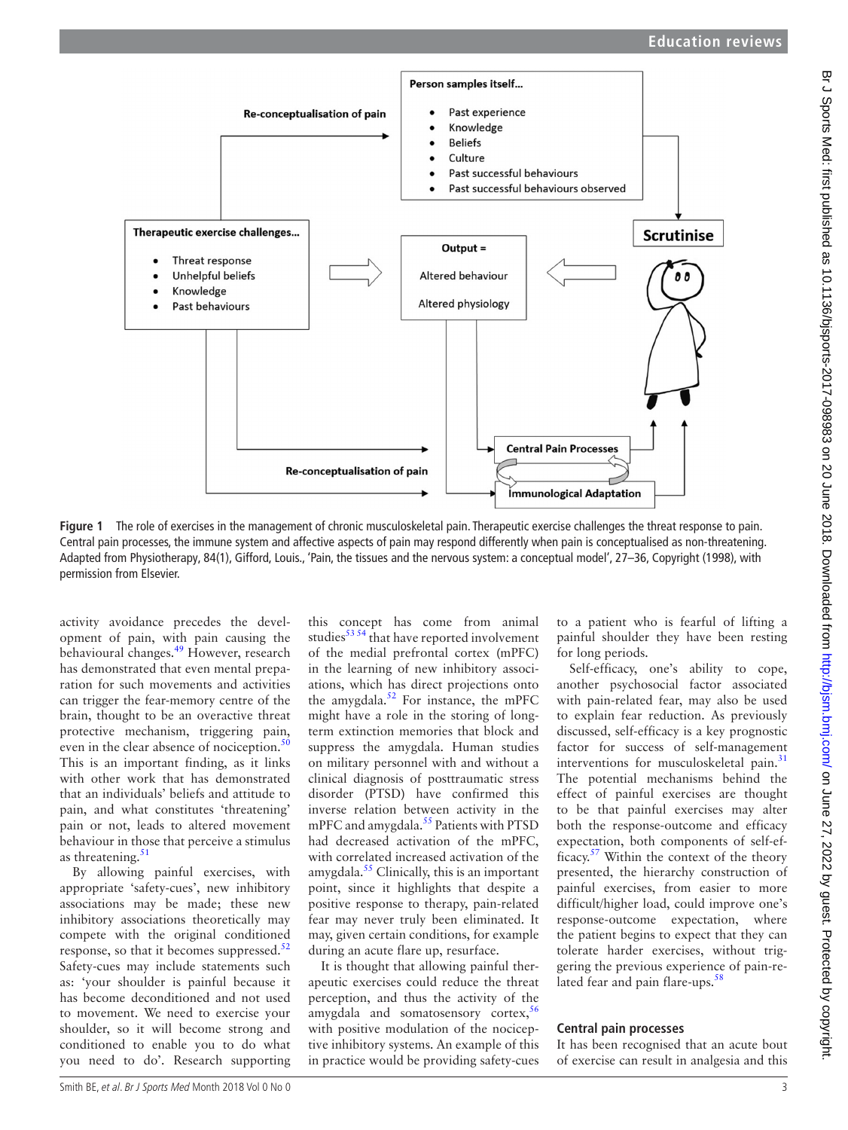

<span id="page-2-0"></span>**Figure 1** The role of exercises in the management of chronic musculoskeletal pain. Therapeutic exercise challenges the threat response to pain. Central pain processes, the immune system and affective aspects of pain may respond differently when pain is conceptualised as non-threatening. Adapted from Physiotherapy, 84(1), Gifford, Louis., 'Pain, the tissues and the nervous system: a conceptual model', 27–36, Copyright (1998), with permission from Elsevier.

activity avoidance precedes the development of pain, with pain causing the behavioural changes.[49](#page-5-3) However, research has demonstrated that even mental preparation for such movements and activities can trigger the fear-memory centre of the brain, thought to be an overactive threat protective mechanism, triggering pain, even in the clear absence of nociception. $50$ This is an important finding, as it links with other work that has demonstrated that an individuals' beliefs and attitude to pain, and what constitutes 'threatening' pain or not, leads to altered movement behaviour in those that perceive a stimulus as threatening. $51$ 

By allowing painful exercises, with appropriate 'safety-cues', new inhibitory associations may be made; these new inhibitory associations theoretically may compete with the original conditioned response, so that it becomes suppressed. $52$ Safety-cues may include statements such as: 'your shoulder is painful because it has become deconditioned and not used to movement. We need to exercise your shoulder, so it will become strong and conditioned to enable you to do what you need to do'. Research supporting this concept has come from animal studies $53\frac{54}{1}$  that have reported involvement of the medial prefrontal cortex (mPFC) in the learning of new inhibitory associations, which has direct projections onto the amygdala.<sup>52</sup> For instance, the mPFC might have a role in the storing of longterm extinction memories that block and suppress the amygdala. Human studies on military personnel with and without a clinical diagnosis of posttraumatic stress disorder (PTSD) have confirmed this inverse relation between activity in the mPFC and amygdala. $55$  Patients with PTSD had decreased activation of the mPFC, with correlated increased activation of the amygdala. $55$  Clinically, this is an important point, since it highlights that despite a positive response to therapy, pain-related fear may never truly been eliminated. It may, given certain conditions, for example during an acute flare up, resurface.

It is thought that allowing painful therapeutic exercises could reduce the threat perception, and thus the activity of the amygdala and somatosensory cortex. $56$ with positive modulation of the nociceptive inhibitory systems. An example of this in practice would be providing safety-cues to a patient who is fearful of lifting a painful shoulder they have been resting for long periods.

Self-efficacy, one's ability to cope, another psychosocial factor associated with pain-related fear, may also be used to explain fear reduction. As previously discussed, self-efficacy is a key prognostic factor for success of self-management interventions for musculoskeletal pain.<sup>[31](#page-4-18)</sup> The potential mechanisms behind the effect of painful exercises are thought to be that painful exercises may alter both the response-outcome and efficacy expectation, both components of self-efficacy.[57](#page-5-10) Within the context of the theory presented, the hierarchy construction of painful exercises, from easier to more difficult/higher load, could improve one's response-outcome expectation, where the patient begins to expect that they can tolerate harder exercises, without triggering the previous experience of pain-related fear and pain flare-ups. $58$ 

#### **Central pain processes**

It has been recognised that an acute bout of exercise can result in analgesia and this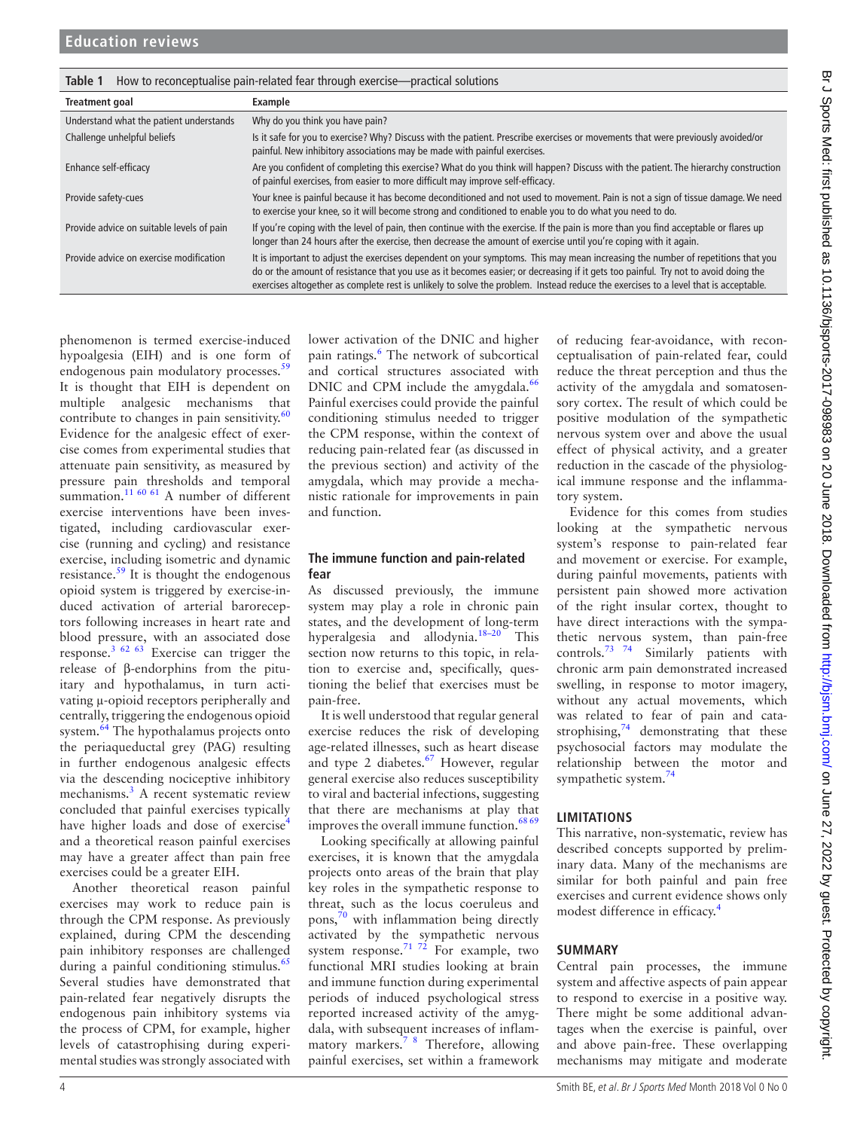<span id="page-3-0"></span>

| How to reconceptualise pain-related fear through exercise-practical solutions<br>Table 1 |                                                                                                                                                                                                                                                                                                                                                                                                              |
|------------------------------------------------------------------------------------------|--------------------------------------------------------------------------------------------------------------------------------------------------------------------------------------------------------------------------------------------------------------------------------------------------------------------------------------------------------------------------------------------------------------|
| <b>Treatment goal</b>                                                                    | Example                                                                                                                                                                                                                                                                                                                                                                                                      |
| Understand what the patient understands                                                  | Why do you think you have pain?                                                                                                                                                                                                                                                                                                                                                                              |
| Challenge unhelpful beliefs                                                              | Is it safe for you to exercise? Why? Discuss with the patient. Prescribe exercises or movements that were previously avoided/or<br>painful. New inhibitory associations may be made with painful exercises.                                                                                                                                                                                                  |
| Enhance self-efficacy                                                                    | Are you confident of completing this exercise? What do you think will happen? Discuss with the patient. The hierarchy construction<br>of painful exercises, from easier to more difficult may improve self-efficacy.                                                                                                                                                                                         |
| Provide safety-cues                                                                      | Your knee is painful because it has become deconditioned and not used to movement. Pain is not a sign of tissue damage. We need<br>to exercise your knee, so it will become strong and conditioned to enable you to do what you need to do.                                                                                                                                                                  |
| Provide advice on suitable levels of pain                                                | If you're coping with the level of pain, then continue with the exercise. If the pain is more than you find acceptable or flares up<br>longer than 24 hours after the exercise, then decrease the amount of exercise until you're coping with it again.                                                                                                                                                      |
| Provide advice on exercise modification                                                  | It is important to adjust the exercises dependent on your symptoms. This may mean increasing the number of repetitions that you<br>do or the amount of resistance that you use as it becomes easier; or decreasing if it gets too painful. Try not to avoid doing the<br>exercises altogether as complete rest is unlikely to solve the problem. Instead reduce the exercises to a level that is acceptable. |

phenomenon is termed exercise-induced hypoalgesia (EIH) and is one form of endogenous pain modulatory processes.<sup>[59](#page-5-12)</sup> It is thought that EIH is dependent on multiple analgesic mechanisms that contribute to changes in pain sensitivity. $60$ Evidence for the analgesic effect of exercise comes from experimental studies that attenuate pain sensitivity, as measured by pressure pain thresholds and temporal summation.<sup>[11 60 61](#page-4-10)</sup> A number of different exercise interventions have been investigated, including cardiovascular exercise (running and cycling) and resistance exercise, including isometric and dynamic resistance. $59$  It is thought the endogenous opioid system is triggered by exercise-induced activation of arterial baroreceptors following increases in heart rate and blood pressure, with an associated dose response.<sup>[3 62 63](#page-4-1)</sup> Exercise can trigger the release of β-endorphins from the pituitary and hypothalamus, in turn activating µ-opioid receptors peripherally and centrally, triggering the endogenous opioid system.[64](#page-5-14) The hypothalamus projects onto the periaqueductal grey (PAG) resulting in further endogenous analgesic effects via the descending nociceptive inhibitory mechanisms.<sup>[3](#page-4-1)</sup> A recent systematic review concluded that painful exercises typically have higher loads and dose of exercise<sup>[4](#page-4-2)</sup> and a theoretical reason painful exercises may have a greater affect than pain free exercises could be a greater EIH.

Another theoretical reason painful exercises may work to reduce pain is through the CPM response. As previously explained, during CPM the descending pain inhibitory responses are challenged during a painful conditioning stimulus. $\frac{65}{2}$ Several studies have demonstrated that pain-related fear negatively disrupts the endogenous pain inhibitory systems via the process of CPM, for example, higher levels of catastrophising during experimental studies was strongly associated with

lower activation of the DNIC and higher pain ratings.<sup>6</sup> The network of subcortical and cortical structures associated with DNIC and CPM include the amygdala.<sup>66</sup> Painful exercises could provide the painful conditioning stimulus needed to trigger the CPM response, within the context of reducing pain-related fear (as discussed in the previous section) and activity of the amygdala, which may provide a mechanistic rationale for improvements in pain and function.

#### **The immune function and pain-related fear**

As discussed previously, the immune system may play a role in chronic pain states, and the development of long-term hyperalgesia and allodynia. $18-20$  This section now returns to this topic, in relation to exercise and, specifically, questioning the belief that exercises must be pain-free.

It is well understood that regular general exercise reduces the risk of developing age-related illnesses, such as heart disease and type 2 diabetes.<sup>[67](#page-5-17)</sup> However, regular general exercise also reduces susceptibility to viral and bacterial infections, suggesting that there are mechanisms at play that improves the overall immune function.<sup>68 69</sup>

Looking specifically at allowing painful exercises, it is known that the amygdala projects onto areas of the brain that play key roles in the sympathetic response to threat, such as the locus coeruleus and pons,[70](#page-5-19) with inflammation being directly activated by the sympathetic nervous system response.<sup>71 72</sup> For example, two functional MRI studies looking at brain and immune function during experimental periods of induced psychological stress reported increased activity of the amygdala, with subsequent increases of inflammatory markers.<sup>7</sup> <sup>8</sup> Therefore, allowing painful exercises, set within a framework of reducing fear-avoidance, with reconceptualisation of pain-related fear, could reduce the threat perception and thus the activity of the amygdala and somatosensory cortex. The result of which could be positive modulation of the sympathetic nervous system over and above the usual effect of physical activity, and a greater reduction in the cascade of the physiological immune response and the inflammatory system.

Evidence for this comes from studies looking at the sympathetic nervous system's response to pain-related fear and movement or exercise. For example, during painful movements, patients with persistent pain showed more activation of the right insular cortex, thought to have direct interactions with the sympathetic nervous system, than pain-free controls.[73 74](#page-5-21) Similarly patients with chronic arm pain demonstrated increased swelling, in response to motor imagery, without any actual movements, which was related to fear of pain and catastrophising,<sup>74</sup> demonstrating that these psychosocial factors may modulate the relationship between the motor and sympathetic system.<sup>[74](#page-5-22)</sup>

## **Limitations**

This narrative, non-systematic, review has described concepts supported by preliminary data. Many of the mechanisms are similar for both painful and pain free exercises and current evidence shows only modest difference in efficacy.<sup>4</sup>

# **Summary**

Central pain processes, the immune system and affective aspects of pain appear to respond to exercise in a positive way. There might be some additional advantages when the exercise is painful, over and above pain-free. These overlapping mechanisms may mitigate and moderate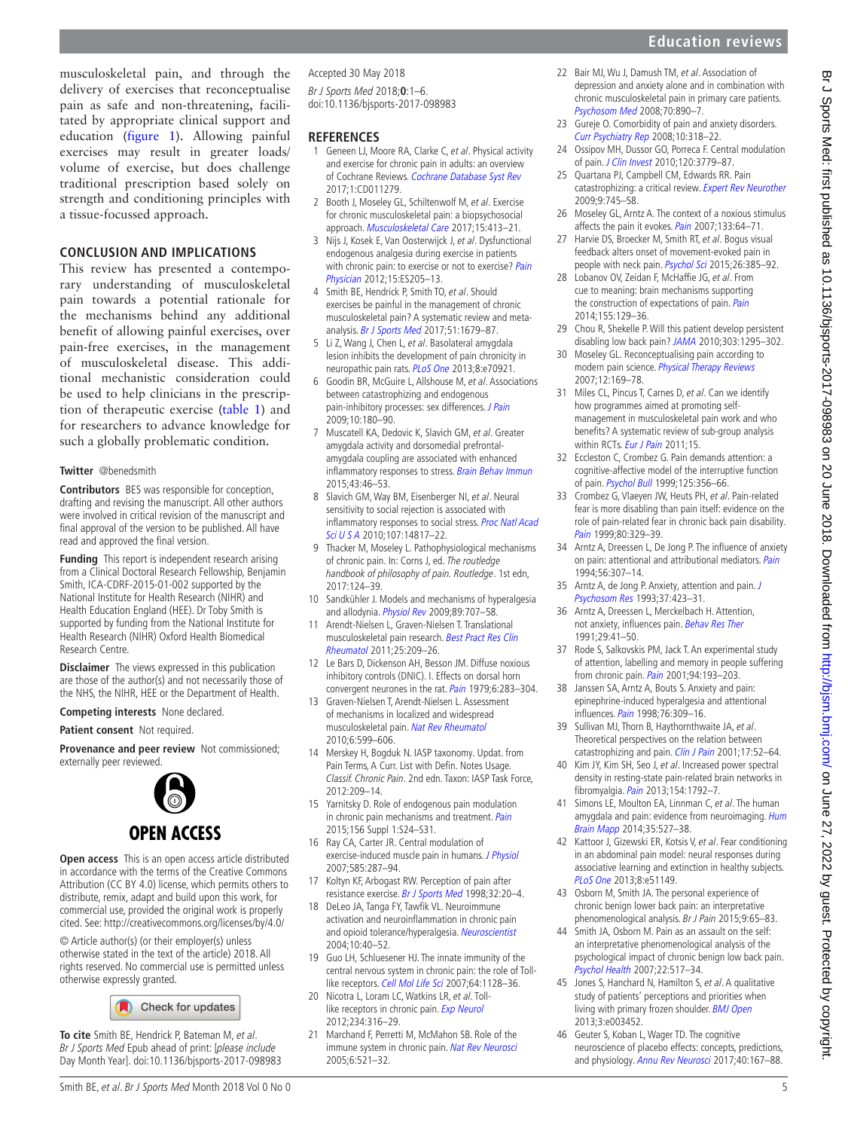#### **Conclusion and implications**

This review has presented a contemporary understanding of musculoskeletal pain towards a potential rationale for the mechanisms behind any additional benefit of allowing painful exercises, over pain-free exercises, in the management of musculoskeletal disease. This additional mechanistic consideration could be used to help clinicians in the prescription of therapeutic exercise [\(table](#page-3-0) 1) and for researchers to advance knowledge for such a globally problematic condition.

#### **Twitter** @benedsmith

**Contributors** BES was responsible for conception, drafting and revising the manuscript. All other authors were involved in critical revision of the manuscript and final approval of the version to be published. All have read and approved the final version.

**Funding** This report is independent research arising from a Clinical Doctoral Research Fellowship, Benjamin Smith, ICA-CDRF-2015-01-002 supported by the National Institute for Health Research (NIHR) and Health Education England (HEE). Dr Toby Smith is supported by funding from the National Institute for Health Research (NIHR) Oxford Health Biomedical Research Centre.

**Disclaimer** The views expressed in this publication are those of the author(s) and not necessarily those of the NHS, the NIHR, HEE or the Department of Health.

**Competing interests** None declared.

#### **Patient consent** Not required.

**Provenance and peer review** Not commissioned; externally peer reviewed.



**Open access** This is an open access article distributed in accordance with the terms of the Creative Commons Attribution (CC BY 4.0) license, which permits others to distribute, remix, adapt and build upon this work, for commercial use, provided the original work is properly cited. See:<http://creativecommons.org/licenses/by/4.0/>

© Article author(s) (or their employer(s) unless otherwise stated in the text of the article) 2018. All rights reserved. No commercial use is permitted unless otherwise expressly granted.

Check for updates

**To cite** Smith BE, Hendrick P, Bateman M, et al. Br J Sports Med Epub ahead of print: [please include Day Month Year]. doi:10.1136/bjsports-2017-098983 Accepted 30 May 2018

Br J Sports Med 2018;**0**:1–6. doi:10.1136/bjsports-2017-098983

#### **References**

- <span id="page-4-0"></span>1 Geneen LJ, Moore RA, Clarke C, et al. Physical activity and exercise for chronic pain in adults: an overview of Cochrane Reviews. [Cochrane Database Syst Rev](http://dx.doi.org/10.1002/14651858.CD011279.pub2) 2017;1:CD011279.
- <span id="page-4-24"></span>2 Booth J, Moseley GL, Schiltenwolf M, et al. Exercise for chronic musculoskeletal pain: a biopsychosocial approach. [Musculoskeletal Care](http://dx.doi.org/10.1002/msc.1191) 2017;15:413–21.
- <span id="page-4-1"></span>3 Nijs J, Kosek E, Van Oosterwijck J, et al. Dysfunctional endogenous analgesia during exercise in patients with chronic pain: to exercise or not to exercise? Pain [Physician](http://www.ncbi.nlm.nih.gov/pubmed/22786458) 2012;15:ES205–13.
- <span id="page-4-2"></span>4 Smith BE, Hendrick P, Smith TO, et al. Should exercises be painful in the management of chronic musculoskeletal pain? A systematic review and meta-analysis. [Br J Sports Med](http://dx.doi.org/10.1136/bjsports-2016-097383) 2017;51:1679-87.
- <span id="page-4-3"></span>5 Li Z, Wang J, Chen L, et al. Basolateral amygdala lesion inhibits the development of pain chronicity in neuropathic pain rats. [PLoS One](http://dx.doi.org/10.1371/journal.pone.0070921) 2013;8:e70921.
- <span id="page-4-27"></span>6 Goodin BR, McGuire L, Allshouse M, et al. Associations between catastrophizing and endogenous pain-inhibitory processes: sex differences. [J Pain](http://dx.doi.org/10.1016/j.jpain.2008.08.012) 2009;10:180–90.
- <span id="page-4-28"></span>7 Muscatell KA, Dedovic K, Slavich GM, et al. Greater amygdala activity and dorsomedial prefrontalamygdala coupling are associated with enhanced inflammatory responses to stress. [Brain Behav Immun](http://dx.doi.org/10.1016/j.bbi.2014.06.201) 2015;43:46–53.
- 8 Slavich GM, Way BM, Eisenberger NI, et al. Neural sensitivity to social rejection is associated with inflammatory responses to social stress. Proc Natl Acad [Sci U S A](http://dx.doi.org/10.1073/pnas.1009164107) 2010;107:14817-22.
- <span id="page-4-4"></span>9 Thacker M, Moseley L. Pathophysiological mechanisms of chronic pain. In: Corns J, ed. The routledge handbook of philosophy of pain. Routledge. 1st edn, 2017:124–39.
- <span id="page-4-6"></span>10 Sandkühler J. Models and mechanisms of hyperalgesia and allodynia. [Physiol Rev](http://dx.doi.org/10.1152/physrev.00025.2008) 2009;89:707-58.
- <span id="page-4-10"></span>11 Arendt-Nielsen L, Graven-Nielsen T. Translational musculoskeletal pain research. [Best Pract Res Clin](http://dx.doi.org/10.1016/j.berh.2010.01.013)  [Rheumatol](http://dx.doi.org/10.1016/j.berh.2010.01.013) 2011;25:209–26.
- <span id="page-4-11"></span>12 Le Bars D, Dickenson AH, Besson JM. Diffuse noxious inhibitory controls (DNIC). I. Effects on dorsal horn convergent neurones in the rat. [Pain](http://dx.doi.org/10.1016/0304-3959(79)90049-6) 1979;6:283-304.
- <span id="page-4-5"></span>13 Graven-Nielsen T, Arendt-Nielsen L. Assessment of mechanisms in localized and widespread musculoskeletal pain. [Nat Rev Rheumatol](http://dx.doi.org/10.1038/nrrheum.2010.107) 2010;6:599–606.
- 14 Merskey H, Bogduk N. IASP taxonomy. Updat. from Pain Terms, A Curr. List with Defin. Notes Usage. Classif. Chronic Pain. 2nd edn. Taxon: IASP Task Force, 2012:209–14.
- <span id="page-4-12"></span>15 Yarnitsky D. Role of endogenous pain modulation in chronic pain mechanisms and treatment. [Pain](http://dx.doi.org/10.1097/01.j.pain.0000460343.46847.58) 2015;156 Suppl 1:S24–S31.
- <span id="page-4-13"></span>16 Ray CA, Carter JR. Central modulation of exercise-induced muscle pain in humans. *[J Physiol](http://dx.doi.org/10.1113/jphysiol.2007.140509)* 2007;585:287–94.
- <span id="page-4-14"></span>17 Koltyn KF, Arbogast RW. Perception of pain after resistance exercise. [Br J Sports Med](http://dx.doi.org/10.1136/bjsm.32.1.20) 1998;32:20–4.
- <span id="page-4-8"></span>18 DeLeo JA, Tanga FY, Tawfik VL. Neuroimmune activation and neuroinflammation in chronic pain and opioid tolerance/hyperalgesia. [Neuroscientist](http://dx.doi.org/10.1177/1073858403259950) 2004;10:40–52.
- <span id="page-4-16"></span>19 Guo LH, Schluesener HJ. The innate immunity of the central nervous system in chronic pain: the role of Toll-like receptors. [Cell Mol Life Sci](http://dx.doi.org/10.1007/s00018-007-6494-3) 2007;64:1128-36.
- 20 Nicotra L, Loram LC, Watkins LR, et al. Toll-like receptors in chronic pain. [Exp Neurol](http://dx.doi.org/10.1016/j.expneurol.2011.09.038) 2012;234:316–29.
- <span id="page-4-15"></span>21 Marchand F, Perretti M, McMahon SB. Role of the immune system in chronic pain. [Nat Rev Neurosci](http://dx.doi.org/10.1038/nrn1700) 2005;6:521–32.

<span id="page-4-9"></span>22 Bair MJ, Wu J, Damush TM, et al. Association of depression and anxiety alone and in combination with chronic musculoskeletal pain in primary care patients. [Psychosom Med](http://dx.doi.org/10.1097/PSY.0b013e318185c510) 2008;70:890–7.

**Education reviews**

- 23 Gureje O. Comorbidity of pain and anxiety disorders. [Curr Psychiatry Rep](http://dx.doi.org/10.1007/s11920-008-0051-0) 2008;10:318–22.
- <span id="page-4-17"></span>24 Ossipov MH, Dussor GO, Porreca F. Central modulation of pain. [J Clin Invest](http://dx.doi.org/10.1172/JCI43766) 2010;120:3779–87.
- <span id="page-4-21"></span>25 Quartana PJ, Campbell CM, Edwards RR. Pain catastrophizing: a critical review. [Expert Rev Neurother](http://dx.doi.org/10.1586/ern.09.34) 2009;9:745–58.
- 26 Moseley GL, Arntz A. The context of a noxious stimulus affects the pain it evokes. [Pain](http://dx.doi.org/10.1016/j.pain.2007.03.002) 2007:133:64-71.
- 27 Harvie DS, Broecker M, Smith RT, et al. Bogus visual feedback alters onset of movement-evoked pain in people with neck pain. [Psychol Sci](http://dx.doi.org/10.1177/0956797614563339) 2015;26:385-92.
- 28 Lobanov OV, Zeidan F, McHaffie JG, et al. From cue to meaning: brain mechanisms supporting the construction of expectations of pain. [Pain](http://dx.doi.org/10.1016/j.pain.2013.09.014) 2014;155:129–36.
- 29 Chou R, Shekelle P. Will this patient develop persistent disabling low back pain? [JAMA](http://dx.doi.org/10.1001/jama.2010.344) 2010;303:1295–302.
- <span id="page-4-7"></span>30 Moseley GL. Reconceptualising pain according to modern pain science. [Physical Therapy Reviews](http://dx.doi.org/10.1179/108331907X223010) 2007;12:169–78.
- <span id="page-4-18"></span>31 Miles CL, Pincus T, Carnes D, et al. Can we identify how programmes aimed at promoting selfmanagement in musculoskeletal pain work and who benefits? A systematic review of sub-group analysis within RCTs. [Eur J Pain](http://dx.doi.org/10.1016/j.ejpain.2011.01.016) 2011;15.
- <span id="page-4-19"></span>32 Eccleston C, Crombez G. Pain demands attention: a cognitive-affective model of the interruptive function of pain. [Psychol Bull](http://dx.doi.org/10.1037/0033-2909.125.3.356) 1999;125:356–66.
- 33 Crombez G, Vlaeyen JW, Heuts PH, et al. Pain-related fear is more disabling than pain itself: evidence on the role of pain-related fear in chronic back pain disability. [Pain](http://dx.doi.org/10.1016/S0304-3959(98)00229-2) 1999;80:329-39.
- <span id="page-4-20"></span>34 Arntz A, Dreessen L, De Jong P. The influence of anxiety on pain: attentional and attributional mediators. [Pain](http://dx.doi.org/10.1016/0304-3959(94)90169-4) 1994;56:307–14.
- 35 Arntz A, de Jong P. Anxiety, attention and pain. [J](http://dx.doi.org/10.1016/0022-3999(93)90145-6)  [Psychosom Res](http://dx.doi.org/10.1016/0022-3999(93)90145-6) 1993;37:423–31.
- 36 Arntz A, Dreessen L, Merckelbach H. Attention, not anxiety, influences pain. [Behav Res Ther](http://dx.doi.org/10.1016/S0005-7967(09)80006-5) 1991;29:41–50.
- 37 Rode S, Salkovskis PM, Jack T. An experimental study of attention, labelling and memory in people suffering from chronic pain. [Pain](http://dx.doi.org/10.1016/S0304-3959(01)00356-6) 2001;94:193-203.
- 38 Janssen SA, Arntz A, Bouts S. Anxiety and pain: epinephrine-induced hyperalgesia and attentional influences. [Pain](http://dx.doi.org/10.1016/S0304-3959(98)00060-8) 1998;76:309-16.
- <span id="page-4-22"></span>39 Sullivan MJ, Thorn B, Haythornthwaite JA, et al. Theoretical perspectives on the relation between catastrophizing and pain. [Clin J Pain](http://dx.doi.org/10.1097/00002508-200103000-00008) 2001;17:52-64.
- <span id="page-4-23"></span>40 Kim JY, Kim SH, Seo J, et al. Increased power spectral density in resting-state pain-related brain networks in fibromyalgia. [Pain](http://dx.doi.org/10.1016/j.pain.2013.05.040) 2013;154:1792-7.
- 41 Simons LE, Moulton EA, Linnman C, et al. The human amygdala and pain: evidence from neuroimaging. Hum [Brain Mapp](http://dx.doi.org/10.1002/hbm.22199) 2014;35:527–38.
- <span id="page-4-26"></span>42 Kattoor J, Gizewski ER, Kotsis V, et al. Fear conditioning in an abdominal pain model: neural responses during associative learning and extinction in healthy subjects. [PLoS One](http://dx.doi.org/10.1371/journal.pone.0051149) 2013;8:e51149.
- <span id="page-4-25"></span>43 Osborn M, Smith JA. The personal experience of chronic benign lower back pain: an interpretative phenomenological analysis. Br J Pain 2015;9:65–83.
- 44 Smith JA, Osborn M. Pain as an assault on the self: an interpretative phenomenological analysis of the psychological impact of chronic benign low back pain. [Psychol Health](http://dx.doi.org/10.1080/14768320600941756) 2007;22:517–34.
- 45 Jones S, Hanchard N, Hamilton S, et al. A qualitative study of patients' perceptions and priorities when living with primary frozen shoulder. **[BMJ Open](http://dx.doi.org/10.1136/bmjopen-2013-003452)** 2013;3:e003452.
- 46 Geuter S, Koban L, Wager TD. The cognitive neuroscience of placebo effects: concepts, predictions, and physiology. [Annu Rev Neurosci](http://dx.doi.org/10.1146/annurev-neuro-072116-031132) 2017;40:167-88.